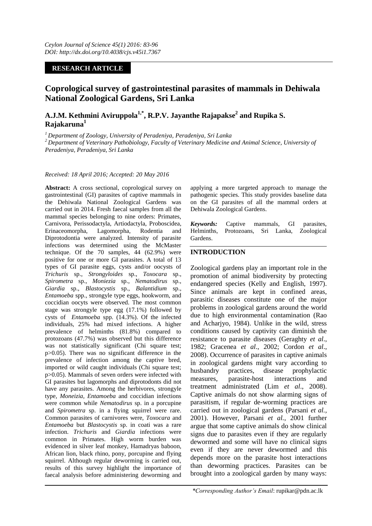# **RESEARCH ARTICLE**

# **Coprological survey of gastrointestinal parasites of mammals in Dehiwala National Zoological Gardens, Sri Lanka**

# **A.J.M. Kethmini Aviruppola1,\*, R.P.V. Jayanthe Rajapakse<sup>2</sup> and Rupika S. Rajakaruna<sup>1</sup>**

*<sup>1</sup>Department of Zoology, University of Peradeniya, Peradeniya, Sri Lanka <sup>2</sup>Department of Veterinary Pathobiology, Faculty of Veterinary Medicine and Animal Science, University of Peradeniya, Peradeniya, Sri Lanka*

#### *Received: 18 April 2016; Accepted: 20 May 2016*

**Abstract:** A cross sectional, coprological survey on gastrointestinal (GI) parasites of captive mammals in the Dehiwala National Zoological Gardens was carried out in 2014. Fresh faecal samples from all the mammal species belonging to nine orders: Primates, Carnivora, Perissodactyla, Artiodactyla, Proboscidea, Erinaceomorpha, Lagomorpha, Rodentia and Diprotodontia were analyzed. Intensity of parasite infections was determined using the McMaster technique. Of the 70 samples, 44 (62.9%) were positive for one or more GI parasites. A total of 13 types of GI parasite eggs, cysts and/or oocysts of *Trichuris* sp., *Strongyloides* sp., *Toxocara* sp., *Spirometra* sp., *Moniezia* sp., *Nematodirus* sp., *Giardia* sp., *Blastocystis* sp., *Balantidium* sp., *Entamoeba* spp., strongyle type eggs, hookworm, and coccidian oocyts were observed. The most common stage was strongyle type egg (17.1%) followed by cysts of *Entamoeba* spp. (14.3%). Of the infected individuals, 25% had mixed infections. A higher prevalence of helminths (81.8%) compared to protozoans (47.7%) was observed but this difference was not statistically significant (Chi square test; p>0.05). There was no significant difference in the prevalence of infection among the captive bred, imported or wild caught individuals (Chi square test; p>0.05). Mammals of seven orders were infected with GI parasites but lagomorphs and diprotodonts did not have any parasites. Among the herbivores, strongyle type, *Moneizia, Entamoeba* and coccidian infections were common while *Nematodirus* sp. in a porcupine and *Spirometra* sp. in a flying squirrel were rare. Common parasites of carnivores were, *Toxocara* and *Entamoeba* but *Blastocystis* sp. in coati was a rare infection. *Trichuris* and *Giardia* infections were common in Primates. High worm burden was evidenced in silver leaf monkey, Hamadryas baboon, African lion, black rhino, pony, porcupine and flying squirrel. Although regular deworming is carried out, results of this survey highlight the importance of faecal analysis before administering deworming and

applying a more targeted approach to manage the pathogenic species. This study provides baseline data on the GI parasites of all the mammal orders at Dehiwala Zoological Gardens.

*Keywords:* Captive mammals, GI parasites, Helminths, Protozoans, Sri Lanka, Zoological Gardens.

# **INTRODUCTION**

Zoological gardens play an important role in the promotion of animal biodiversity by protecting endangered species (Kelly and English, 1997). Since animals are kept in confined areas, parasitic diseases constitute one of the major problems in zoological gardens around the world due to high environmental contamination (Rao and Acharjyo, 1984). Unlike in the wild, stress conditions caused by captivity can diminish the resistance to parasite diseases (Geraghty *et al*., 1982; Gracenea *et al*., 2002; Cordon *et al*., 2008). Occurrence of parasites in captive animals in zoological gardens might vary according to husbandry practices, disease prophylactic measures, parasite-host interactions and treatment administrated (Lim *et al*., 2008). Captive animals do not show alarming signs of parasitism, if regular de-worming practices are carried out in zoological gardens (Parsani *et al.,* 2001). However, Parsani *et al.*, 2001 further argue that some captive animals do show clinical signs due to parasites even if they are regularly dewormed and some will have no clinical signs even if they are never dewormed and this depends more on the parasite host interactions than deworming practices. Parasites can be brought into a zoological garden by many ways: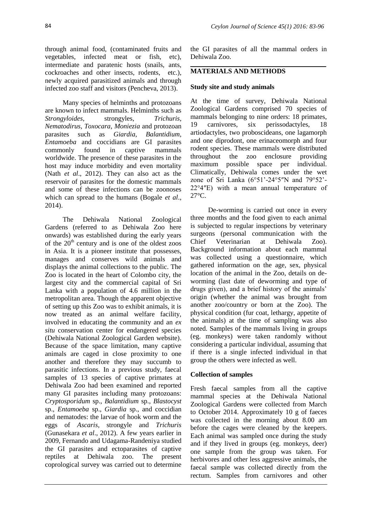through animal food, (contaminated fruits and vegetables, infected meat or fish, etc), intermediate and paratenic hosts (snails, ants, cockroaches and other insects, rodents, etc.), newly acquired parasitized animals and through infected zoo staff and visitors (Pencheva, 2013).

Many species of helminths and protozoans are known to infect mammals. Helminths such as *Strongyloides*, strongyles, *Trichuris*, *Nematodirus*, *Toxocara*, *Moniezia* and protozoan parasites such as *Giardia*, *Balantidium*, *Entamoeba* and coccidians are GI parasites commonly found in captive mammals worldwide. The presence of these parasites in the host may induce morbidity and even mortality (Nath *et al*., 2012). They can also act as the reservoir of parasites for the domestic mammals and some of these infections can be zoonoses which can spread to the humans (Bogale *et al*., 2014).

The Dehiwala National Zoological Gardens (referred to as Dehiwala Zoo here onwards) was established during the early years of the  $20<sup>th</sup>$  century and is one of the oldest zoos in Asia. It is a pioneer institute that possesses, manages and conserves wild animals and displays the animal collections to the public. The Zoo is located in the heart of Colombo city, the largest city and the commercial capital of Sri Lanka with a population of 4.6 million in the metropolitan area. Though the apparent objective of setting up this Zoo was to exhibit animals, it is now treated as an animal welfare facility, involved in educating the community and an *ex situ* conservation center for endangered species (Dehiwala National Zoological Garden website). Because of the space limitation, many captive animals are caged in close proximity to one another and therefore they may succumb to parasitic infections. In a previous study, faecal samples of 13 species of captive primates at Dehiwala Zoo had been examined and reported many GI parasites including many protozoans: *Cryptosporidum* sp., *Balantidium* sp., *Blastocyst*  sp., *Entamoeba* sp., *Giardia* sp., and coccidian and nematodes: the larvae of hook worm and the eggs of *Ascaris*, strongyle and *Trichuris*  (Gunasekara *et al*., 2012). A few years earlier in 2009, Fernando and Udagama-Randeniya studied the GI parasites and ectoparasites of captive reptiles at Dehiwala zoo. The present coprological survey was carried out to determine

the GI parasites of all the mammal orders in Dehiwala Zoo.

# **MATERIALS AND METHODS**

#### **Study site and study animals**

At the time of survey, Dehiwala National Zoological Gardens comprised 70 species of mammals belonging to nine orders: 18 primates, 19 carnivores, six perissodactyles, 18 artiodactyles, two proboscideans, one lagamorph and one diprodont, one erinaceomorph and four rodent species. These mammals were distributed throughout the zoo enclosure providing maximum possible space per individual. Climatically, Dehiwala comes under the wet zone of Sri Lanka (6°51'-24°5″N and 79°52'- 22°4″E) with a mean annual temperature of 27°C.

De-worming is carried out once in every three months and the food given to each animal is subjected to regular inspections by veterinary surgeons (personal communication with the Chief Veterinarian at Dehiwala Zoo). Background information about each mammal was collected using a questionnaire, which gathered information on the age, sex, physical location of the animal in the Zoo, details on deworming (last date of deworming and type of drugs given), and a brief history of the animals' origin (whether the animal was brought from another zoo/country or born at the Zoo). The physical condition (fur coat, lethargy, appetite of the animals) at the time of sampling was also noted. Samples of the mammals living in groups (eg. monkeys) were taken randomly without considering a particular individual, assuming that if there is a single infected individual in that group the others were infected as well.

#### **Collection of samples**

Fresh faecal samples from all the captive mammal species at the Dehiwala National Zoological Gardens were collected from March to October 2014. Approximately 10 g of faeces was collected in the morning about 8.00 am before the cages were cleaned by the keepers. Each animal was sampled once during the study and if they lived in groups (eg. monkeys, deer) one sample from the group was taken. For herbivores and other less aggressive animals, the faecal sample was collected directly from the rectum. Samples from carnivores and other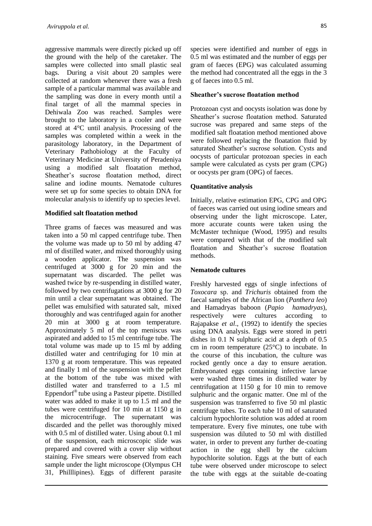aggressive mammals were directly picked up off the ground with the help of the caretaker. The samples were collected into small plastic seal bags. During a visit about 20 samples were collected at random whenever there was a fresh sample of a particular mammal was available and the sampling was done in every month until a final target of all the mammal species in Dehiwala Zoo was reached. Samples were brought to the laboratory in a cooler and were stored at 4°C until analysis. Processing of the samples was completed within a week in the parasitology laboratory, in the Department of Veterinary Pathobiology at the Faculty of Veterinary Medicine at University of Peradeniya using a modified salt floatation method, Sheather's sucrose floatation method, direct saline and iodine mounts. Nematode cultures were set up for some species to obtain DNA for molecular analysis to identify up to species level.

# **Modified salt floatation method**

Three grams of faeces was measured and was taken into a 50 ml capped centrifuge tube. Then the volume was made up to 50 ml by adding 47 ml of distilled water, and mixed thoroughly using a wooden applicator. The suspension was centrifuged at 3000 g for 20 min and the supernatant was discarded. The pellet was washed twice by re-suspending in distilled water, followed by two centrifugations at 3000 g for 20 min until a clear supernatant was obtained. The pellet was emulsified with saturated salt, mixed thoroughly and was centrifuged again for another 20 min at 3000 g at room temperature. Approximately 5 ml of the top meniscus was aspirated and added to 15 ml centrifuge tube. The total volume was made up to 15 ml by adding distilled water and centrifuging for 10 min at 1370 g at room temperature. This was repeated and finally 1 ml of the suspension with the pellet at the bottom of the tube was mixed with distilled water and transferred to a 1.5 ml Eppendorf® tube using a Pasteur pipette. Distilled water was added to make it up to 1.5 ml and the tubes were centrifuged for 10 min at 1150 g in the microcentrifuge. The supernatant was discarded and the pellet was thoroughly mixed with 0.5 ml of distilled water. Using about 0.1 ml of the suspension, each microscopic slide was prepared and covered with a cover slip without staining. Five smears were observed from each sample under the light microscope (Olympus CH 31, Philllipines). Eggs of different parasite

species were identified and number of eggs in 0.5 ml was estimated and the number of eggs per gram of faeces (EPG) was calculated assuming the method had concentrated all the eggs in the 3 g of faeces into 0.5 ml.

# **Sheather's sucrose floatation method**

Protozoan cyst and oocysts isolation was done by Sheather's sucrose floatation method. Saturated sucrose was prepared and same steps of the modified salt floatation method mentioned above were followed replacing the floatation fluid by saturated Sheather's sucrose solution. Cysts and oocysts of particular protozoan species in each sample were calculated as cysts per gram (CPG) or oocysts per gram (OPG) of faeces.

# **Quantitative analysis**

Initially, relative estimation EPG, CPG and OPG of faeces was carried out using iodine smears and observing under the light microscope. Later, more accurate counts were taken using the McMaster technique (Wood, 1995) and results were compared with that of the modified salt floatation and Sheather's sucrose floatation methods.

#### **Nematode cultures**

Freshly harvested eggs of single infections of *Toxocara* sp. and *Trichuris* obtained from the faecal samples of the African lion (*Panthera leo*) and Hamadryas baboon (*Papio hamadryas*), respectively were cultures according to Rajapakse *et al*., (1992) to identify the species using DNA analysis. Eggs were stored in petri dishes in 0.1 N sulphuric acid at a depth of 0.5 cm in room temperature (25°C) to incubate. In the course of this incubation, the culture was rocked gently once a day to ensure aeration. Embryonated eggs containing infective larvae were washed three times in distilled water by centrifugation at 1150 g for 10 min to remove sulphuric and the organic matter. One ml of the suspension was transferred to five 50 ml plastic centrifuge tubes. To each tube 10 ml of saturated calcium hypochlorite solution was added at room temperature. Every five minutes, one tube with suspension was diluted to 50 ml with distilled water, in order to prevent any further de-coating action in the egg shell by the calcium hypochlorite solution. Eggs at the butt of each tube were observed under microscope to select the tube with eggs at the suitable de-coating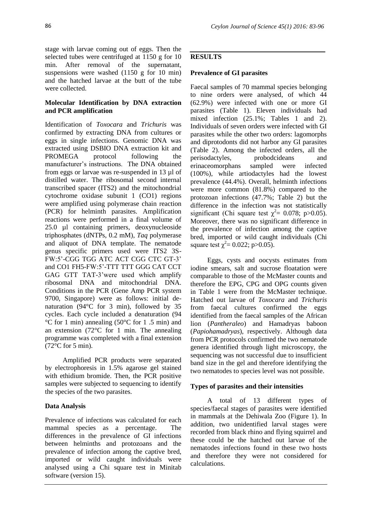stage with larvae coming out of eggs. Then the selected tubes were centrifuged at 1150 g for 10 min. After removal of the supernatant, suspensions were washed (1150 g for 10 min) and the hatched larvae at the butt of the tube were collected.

# **Molecular Identification by DNA extraction and PCR amplification**

Identification of *Toxocara* and *Trichuris* was confirmed by extracting DNA from cultures or eggs in single infections. Genomic DNA was extracted using DSBIO DNA extraction kit and PROMEGA protocol following the manufacturer's instructions. The DNA obtained from eggs or larvae was re-suspended in 13 µl of distilled water. The ribosomal second internal transcribed spacer (ITS2) and the mitochondrial cytochrome oxidase subunit 1 (CO1) regions were amplified using polymerase chain reaction (PCR) for helminth parasites. Amplification reactions were performed in a final volume of 25.0 µl containing primers, deoxynucleoside triphosphates (dNTPs, 0.2 mM), *Taq* polymerase and aliquot of DNA template. The nematode genus specific primers used were ITS2 3S-FW:5'-CGG TGG ATC ACT CGG CTC GT-3' and CO1 FH5-FW:5'-TTT TTT GGG CAT CCT GAG GTT TAT-3'were used which amplify ribosomal DNA and mitochondrial DNA. Conditions in the PCR (Gene Amp PCR system 9700, Singapore) were as follows: initial denaturation (94°C for 3 min), followed by 35 cycles. Each cycle included a denaturation (94 °C for 1 min) annealing (50°C for 1 .5 min) and an extension (72°C for 1 min. The annealing programme was completed with a final extension (72°C for 5 min).

Amplified PCR products were separated by electrophoresis in 1.5% agarose gel stained with ethidium bromide. Then, the PCR positive samples were subjected to sequencing to identify the species of the two parasites.

# **Data Analysis**

Prevalence of infections was calculated for each mammal species as a percentage. The differences in the prevalence of GI infections between helminths and protozoans and the prevalence of infection among the captive bred, imported or wild caught individuals were analysed using a Chi square test in Minitab software (version 15).

# **RESULTS**

### **Prevalence of GI parasites**

Faecal samples of 70 mammal species belonging to nine orders were analysed, of which 44 (62.9%) were infected with one or more GI parasites (Table 1). Eleven individuals had mixed infection (25.1%; Tables 1 and 2). Individuals of seven orders were infected with GI parasites while the other two orders: lagomorphs and diprotodonts did not harbor any GI parasites (Table 2). Among the infected orders, all the perisodactyles, probodcideans and erinaceomorphans sampled were infected (100%), while artiodactyles had the lowest prevalence (44.4%). Overall, helminth infections were more common (81.8%) compared to the protozoan infections (47.7%; Table 2) but the difference in the infection was not statistically significant (Chi square test  $\chi^2$  = 0.078; p > 0.05). Moreover, there was no significant difference in the prevalence of infection among the captive bred, imported or wild caught individuals (Chi square test  $\chi^2$  = 0.022; p > 0.05).

Eggs, cysts and oocysts estimates from iodine smears, salt and sucrose floatation were comparable to those of the McMaster counts and therefore the EPG, CPG and OPG counts given in Table 1 were from the McMaster technique. Hatched out larvae of *Toxocara* and *Trichuris*  from faecal cultures confirmed the eggs identified from the faecal samples of the African lion (*Pantheraleo*) and Hamadryas baboon (*Papiohamadryas*), respectively. Although data from PCR protocols confirmed the two nematode genera identified through light microscopy, the sequencing was not successful due to insufficient band size in the gel and therefore identifying the two nematodes to species level was not possible.

# **Types of parasites and their intensities**

A total of 13 different types of species/faecal stages of parasites were identified in mammals at the Dehiwala Zoo (Figure 1). In addition, two unidentified larval stages were recorded from black rhino and flying squirrel and these could be the hatched out larvae of the nematodes infections found in these two hosts and therefore they were not considered for calculations.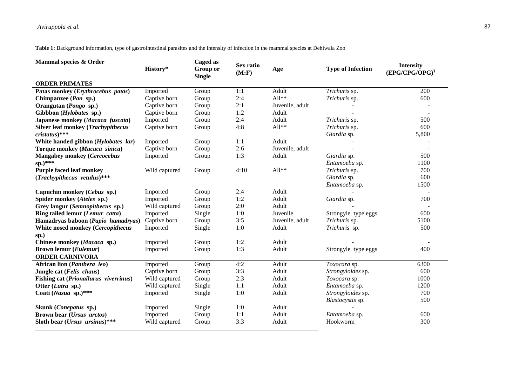**Table 1:** Background information, type of gastrointestinal parasites and the intensity of infection in the mammal species at Dehiwala Zoo

| Mammal species & Order                    |               | Caged as                  |                     |                 |                          |                                         |
|-------------------------------------------|---------------|---------------------------|---------------------|-----------------|--------------------------|-----------------------------------------|
|                                           | History*      | Group or<br><b>Single</b> | Sex ratio<br>(M: F) | Age             | <b>Type of Infection</b> | <b>Intensity</b><br>$(EPG/CPG/OPG)^{8}$ |
| <b>ORDER PRIMATES</b>                     |               |                           |                     |                 |                          |                                         |
| Patas monkey (Erythrocebus patas)         | Imported      | Group                     | 1:1                 | Adult           | Trichuris sp.            | 200                                     |
| Chimpanzee (Pan sp.)                      | Captive born  | Group                     | 2:4                 | $All**$         | Trichuris sp.            | 600                                     |
| Orangutan (Pongo sp.)                     | Captive born  | Group                     | 2:1                 | Juvenile, adult |                          |                                         |
| Gibbbon (Hylobates sp.)                   | Captive born  | Group                     | 1:2                 | Adult           |                          |                                         |
| Japanese monkey (Macaca fuscata)          | Imported      | Group                     | 2:4                 | Adult           | Trichuris sp.            | 500                                     |
| <b>Silver leaf monkey (Trachypithecus</b> | Captive born  | Group                     | 4:8                 | $All**$         | Trichuris sp.            | 600                                     |
| $cristatus)$ ***                          |               |                           |                     |                 | Giardia sp.              | 5,800                                   |
| White handed gibbon (Hylobates lar)       | Imported      | Group                     | 1:1                 | Adult           |                          |                                         |
| Torque monkey (Macaca sinica)             | Captive born  | Group                     | 2:6                 | Juvenile, adult |                          |                                         |
| <b>Mangabey monkey (Cercocebus</b>        | Imported      | Group                     | 1:3                 | Adult           | Giardia sp.              | 500                                     |
| sp.)***                                   |               |                           |                     |                 | Entamoeba sp.            | 1100                                    |
| <b>Purple faced leaf monkey</b>           | Wild captured | Group                     | 4:10                | $All**$         | Trichuris sp.            | 700                                     |
| (Trachypithecus vetulus)***               |               |                           |                     |                 | Giardia sp.              | 600                                     |
|                                           |               |                           |                     |                 | Entamoeba sp.            | 1500                                    |
| Capuchin monkey (Cebus sp.)               | Imported      | Group                     | 2:4                 | Adult           |                          |                                         |
| Spider monkey (Ateles sp.)                | Imported      | Group                     | 1:2                 | Adult           | Giardia sp.              | 700                                     |
| Grey langur (Semnopithecus sp.)           | Wild captured | Group                     | 2:0                 | Adult           |                          |                                         |
| Ring tailed lemur (Lemur catta)           | Imported      | Single                    | 1:0                 | Juvenile        | Strongyle type eggs      | 600                                     |
| Hamadryas baboon (Papio hamadryas)        | Captive born  | Group                     | 3:5                 | Juvenile, adult | Trichuris sp.            | 5100                                    |
| White nosed monkey (Cercopithecus         | Imported      | Single                    | 1:0                 | Adult           | Trichuris sp.            | 500                                     |
| sp.)                                      |               |                           |                     |                 |                          |                                         |
| Chinese monkey (Macaca sp.)               | Imported      | Group                     | 1:2                 | Adult           |                          |                                         |
| <b>Brown lemur (Eulemur)</b>              | Imported      | Group                     | 1:3                 | Adult           | Strongyle type eggs      | 400                                     |
| <b>ORDER CARNIVORA</b>                    |               |                           |                     |                 |                          |                                         |
| African lion (Panthera leo)               | Imported      | Group                     | 4:2                 | Adult           | Toxocara sp.             | 6300                                    |
| Jungle cat (Felis chaus)                  | Captive born  | Group                     | 3:3                 | Adult           | Strongyloides sp.        | 600                                     |
| Fishing cat (Prionailurus viverrinus)     | Wild captured | Group                     | 2:3                 | Adult           | Toxocara sp.             | 1000                                    |
| Otter (Lutra sp.)                         | Wild captured | Single                    | 1:1                 | Adult           | Entamoeba sp.            | 1200                                    |
| Coati (Nasua sp.)***                      | Imported      | Single                    | 1:0                 | Adult           | Strongyloides sp.        | 700                                     |
|                                           |               |                           |                     |                 | Blastocystis sp.         | 500                                     |
| Skunk ( <i>Conepatus</i> sp.)             | Imported      | Single                    | 1:0                 | Adult           |                          |                                         |
| Brown bear (Ursus arctos)                 | Imported      | Group                     | 1:1                 | Adult           | Entamoeba sp.            | 600                                     |
| Sloth bear $(Ursus$ ursinus)***           | Wild captured | Group                     | 3:3                 | Adult           | Hookworm                 | 300                                     |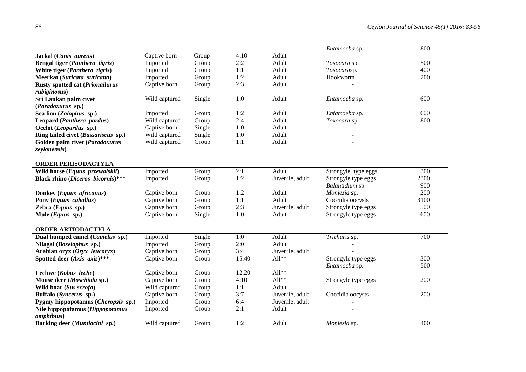|                                          |               |        |       |                   | Entamoeba sp.       | 800  |
|------------------------------------------|---------------|--------|-------|-------------------|---------------------|------|
| Jackal (Canis aureus)                    | Captive born  | Group  | 4:10  | Adult             |                     |      |
| Bengal tiger (Panthera tigris)           | Imported      | Group  | 2:2   | Adult             | Toxocara sp.        | 500  |
| White tiger (Panthera tigris)            | Imported      | Group  | 1:1   | Adult             | Toxocarasp.         | 400  |
| Meerkat (Suricata suricatta)             | Imported      | Group  | 1:2   | Adult             | Hookworm            | 200  |
| <b>Rusty spotted cat (Prionailurus</b>   | Captive born  | Group  | 2:3   | Adult             |                     |      |
| rubiginosus)                             |               |        |       |                   |                     |      |
| Sri Lankan palm civet                    | Wild captured | Single | 1:0   | Adult             | Entamoeba sp.       | 600  |
| (Paradoxurus sp.)                        |               |        |       |                   |                     |      |
| Sea lion (Zalophus sp.)                  | Imported      | Group  | 1:2   | Adult             | Entamoeba sp.       | 600  |
| Leopard (Panthera pardus)                | Wild captured | Group  | 2:4   | Adult             | Toxocara sp.        | 800  |
| Ocelot (Leopardus sp.)                   | Captive born  | Single | 1:0   | Adult             |                     |      |
| Ring tailed civet (Bassariscus sp.)      | Wild captured | Single | 1:0   | Adult             |                     |      |
| Golden palm civet (Paradoxurus           | Wild captured | Group  | 1:1   | Adult             |                     |      |
| <i>zeylonensis</i> )                     |               |        |       |                   |                     |      |
|                                          |               |        |       |                   |                     |      |
| <b>ORDER PERISODACTYLA</b>               |               |        |       |                   |                     |      |
| Wild horse (Equus przewalskii)           | Imported      | Group  | 2:1   | Adult             | Strongyle type eggs | 300  |
| <b>Black rhino (Diceros bicornis)***</b> | Imported      | Group  | 1:2   | Juvenile, adult   | Strongyle type eggs | 2300 |
|                                          |               |        |       |                   | Balantidium sp.     | 900  |
| Donkey (Equus africanus)                 | Captive born  | Group  | 1:2   | Adult             | Moniezia sp.        | 200  |
| Pony (Equus caballus)                    | Captive born  | Group  | 1:1   | Adult             | Coccidia oocysts    | 3100 |
| Zebra (Equus sp.)                        | Captive born  | Group  | 2:3   | Juvenile, adult   | Strongyle type eggs | 500  |
| Mule $(Equus$ sp.)                       | Captive born  | Single | 1:0   | Adult             | Strongyle type eggs | 600  |
|                                          |               |        |       |                   |                     |      |
| <b>ORDER ARTIODACTYLA</b>                |               |        |       |                   |                     |      |
| Dual humped camel (Camelus sp.)          | Imported      | Single | 1:0   | Adult             | Trichuris sp.       | 700  |
| Nilagai (Boselaphus sp.)                 | Imported      | Group  | 2:0   | Adult             |                     |      |
| Arabian oryx (Oryx leucoryx)             | Captive born  | Group  | 3:4   | Juvenile, adult   |                     |      |
| Spotted deer (Axis axis)***              | Captive born  | Group  | 15:40 | $All**$           | Strongyle type eggs | 300  |
|                                          |               |        |       |                   | Entamoeba sp.       | 500  |
| Lechwe (Kobus leche)                     | Captive born  | Group  | 12:20 | $\text{All}^{**}$ |                     |      |
| Mouse deer (Moschiola sp.)               | Captive born  | Group  | 4:10  | $All**$           | Strongyle type eggs | 200  |
| Wild boar (Sus scrofa)                   | Wild captured | Group  | 1:1   | Adult             |                     |      |
| Buffalo (Syncerus sp.)                   | Captive born  | Group  | 3:7   | Juvenile, adult   | Coccidia oocysts    | 200  |
| Pygmy hippopotamus (Cheropsis sp.)       | Imported      | Group  | 6:4   | Juvenile, adult   |                     |      |
| Nile hippopotamus (Hippopotamus          | Imported      | Group  | 2:1   | Adult             |                     |      |
| <i>amphibius</i> )                       |               |        |       |                   |                     |      |
| Barking deer (Muntiacini sp.)            | Wild captured | Group  | 1:2   | Adult             | Moniezia sp.        | 400  |
|                                          |               |        |       |                   |                     |      |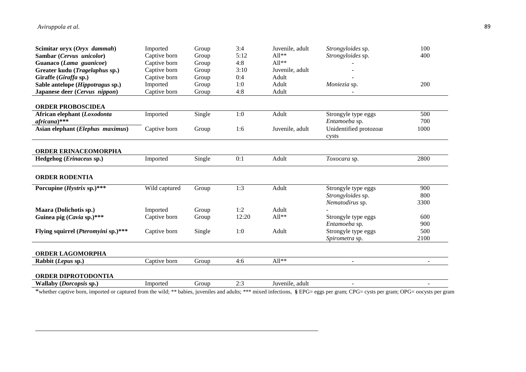| Scimitar oryx (Oryx dammah)                                  | Imported      | Group  | 3:4   | Juvenile, adult | Strongyloides sp.        | 100            |
|--------------------------------------------------------------|---------------|--------|-------|-----------------|--------------------------|----------------|
| Sambar (Cervus unicolor)                                     | Captive born  | Group  | 5:12  | $All**$         | Strongyloides sp.        | 400            |
| Guanaco (Lama guanicoe)                                      | Captive born  | Group  | 4:8   | $All**$         |                          |                |
| Greater kudu (Tragelaphus sp.)                               | Captive born  | Group  | 3:10  | Juvenile, adult |                          |                |
| Giraffe (Giraffa sp.)                                        | Captive born  | Group  | 0:4   | Adult           |                          |                |
| Sable antelope (Hippotragus sp.)                             | Imported      | Group  | 1:0   | Adult           | Moniezia sp.             | 200            |
| Japanese deer (Cervus nippon)                                | Captive born  | Group  | 4:8   | Adult           |                          |                |
|                                                              |               |        |       |                 |                          |                |
| <b>ORDER PROBOSCIDEA</b>                                     |               |        |       |                 |                          |                |
| African elephant (Loxodonta                                  | Imported      | Single | 1:0   | Adult           | Strongyle type eggs      | 500            |
| africana)***                                                 |               |        |       |                 | Entamoeba sp.            | 700            |
| Asian elephant (Elephas maximus)                             | Captive born  | Group  | 1:6   | Juvenile, adult | Unidentified protozoar   | 1000           |
|                                                              |               |        |       |                 | cysts                    |                |
|                                                              |               |        |       |                 |                          |                |
| <b>ORDER ERINACEOMORPHA</b>                                  |               |        |       |                 |                          |                |
| Hedgehog (Erinaceus sp.)                                     | Imported      | Single | 0:1   | Adult           | Toxocara sp.             | 2800           |
|                                                              |               |        |       |                 |                          |                |
|                                                              |               |        |       |                 |                          |                |
| <b>ORDER RODENTIA</b>                                        |               |        |       |                 |                          |                |
|                                                              |               |        |       |                 |                          |                |
| Porcupine (Hystrix sp.)***                                   | Wild captured | Group  | 1:3   | Adult           | Strongyle type eggs      | 900            |
|                                                              |               |        |       |                 | Strongyloides sp.        | 800            |
|                                                              |               |        |       |                 | Nematodirus sp.          | 3300           |
| Maara (Dolichotis sp.)                                       | Imported      | Group  | 1:2   | Adult           |                          |                |
| Guinea pig (Cavia sp.)***                                    | Captive born  | Group  | 12:20 | $All**$         | Strongyle type eggs      | 600            |
|                                                              |               |        |       |                 | Entamoeba sp.            | 900            |
| Flying squirrel (Pteromyini sp.)***                          | Captive born  | Single | 1:0   | Adult           | Strongyle type eggs      | 500            |
|                                                              |               |        |       |                 | Spirometra sp.           | 2100           |
|                                                              |               |        |       |                 |                          |                |
| ORDER LAGOMORPHA                                             |               |        |       |                 |                          |                |
| Rabbit (Lepus sp.)                                           | Captive born  | Group  | 4:6   | $All**$         | $\overline{\phantom{a}}$ | $\sim$         |
|                                                              |               |        |       |                 |                          |                |
| <b>ORDER DIPROTODONTIA</b><br><b>Wallaby (Dorcopsis sp.)</b> | Imported      | Group  | 2:3   | Juvenile, adult | $\blacksquare$           | $\blacksquare$ |

\*whether captive born, imported or captured from the wild; \*\* babies, juveniles and adults; \*\*\* mixed infections, **§** EPG= eggs per gram; CPG= cysts per gram; OPG= oocysts per gram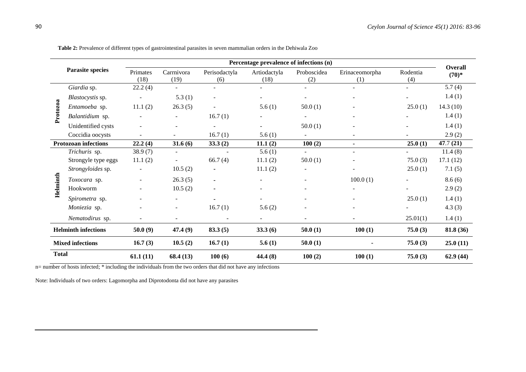|                             |                         | Percentage prevalence of infections (n) |                          |                          |                      |                          |                          |                 |                           |
|-----------------------------|-------------------------|-----------------------------------------|--------------------------|--------------------------|----------------------|--------------------------|--------------------------|-----------------|---------------------------|
| <b>Parasite species</b>     |                         | Primates<br>(18)                        | Carrnivora<br>(19)       | Perisodactyla<br>(6)     | Artiodactyla<br>(18) | Proboscidea<br>(2)       | Erinaceomorpha<br>(1)    | Rodentia<br>(4) | <b>Overall</b><br>$(70)*$ |
| Protozoa                    | Giardia sp.             | 22.2(4)                                 | ÷.                       |                          |                      |                          |                          |                 | 5.7(4)                    |
|                             | Blastocystis sp.        | $\sim$                                  | 5.3(1)                   | $\overline{\phantom{0}}$ |                      |                          |                          |                 | 1.4(1)                    |
|                             | Entamoeba sp.           | 11.1(2)                                 | 26.3(5)                  |                          | 5.6(1)               | 50.0(1)                  |                          | 25.0(1)         | 14.3(10)                  |
|                             | Balantidium sp.         |                                         | $\sim$                   | 16.7(1)                  |                      |                          |                          |                 | 1.4(1)                    |
|                             | Unidentified cysts      | ÷.                                      |                          | ÷                        | $\sim$               | 50.0(1)                  |                          |                 | 1.4(1)                    |
|                             | Coccidia oocysts        |                                         |                          | 16.7(1)                  | 5.6(1)               |                          |                          |                 | 2.9(2)                    |
| <b>Protozoan infections</b> |                         | 22.2(4)                                 | 31.6(6)                  | 33.3(2)                  | 11.1(2)              | 100(2)                   | $\blacksquare$           | 25.0(1)         | 47.7(21)                  |
|                             | Trichuris sp.           | 38.9(7)                                 | $\overline{\phantom{a}}$ | $\sim$                   | 5.6(1)               |                          | $\overline{\phantom{a}}$ |                 | 11.4(8)                   |
|                             | Strongyle type eggs     | 11.1(2)                                 | $\blacksquare$           | 66.7(4)                  | 11.1(2)              | 50.0(1)                  |                          | 75.0(3)         | 17.1(12)                  |
|                             | Strongyloides sp.       | $\blacksquare$                          | 10.5(2)                  | $\blacksquare$           | 11.1(2)              |                          | $\overline{\phantom{a}}$ | 25.0(1)         | 7.1(5)                    |
| Helminth                    | Toxocara sp.            | ÷.                                      | 26.3(5)                  | $\blacksquare$           |                      |                          | 100.0(1)                 |                 | 8.6(6)                    |
|                             | Hookworm                |                                         | 10.5(2)                  | ٠                        |                      |                          | $\sim$                   |                 | 2.9(2)                    |
|                             | Spirometra sp.          |                                         | ٠                        |                          |                      |                          |                          | 25.0(1)         | 1.4(1)                    |
|                             | Moniezia sp.            | Ξ.                                      | $\overline{\phantom{a}}$ | 16.7(1)                  | 5.6(2)               |                          | $\overline{\phantom{0}}$ |                 | 4.3(3)                    |
|                             | Nematodirus sp.         |                                         | $\sim$                   | $\overline{\phantom{a}}$ | $\sim$               | $\overline{\phantom{a}}$ | $\overline{\phantom{a}}$ | 25.01(1)        | 1.4(1)                    |
| <b>Helminth infections</b>  |                         | 50.0(9)                                 | 47.4(9)                  | 83.3(5)                  | 33.3(6)              | 50.0(1)                  | 100(1)                   | 75.0(3)         | 81.8 (36)                 |
|                             | <b>Mixed infections</b> | 16.7(3)                                 | 10.5(2)                  | 16.7(1)                  | 5.6(1)               | 50.0(1)                  |                          | 75.0(3)         | 25.0(11)                  |
| <b>Total</b>                |                         | 61.1(11)                                | 68.4(13)                 | 100(6)                   | 44.4 (8)             | 100(2)                   | 100(1)                   | 75.0(3)         | 62.9(44)                  |

**Table 2:** Prevalence of different types of gastrointestinal parasites in seven mammalian orders in the Dehiwala Zoo

n= number of hosts infected; \* including the individuals from the two orders that did not have any infections

Note: Individuals of two orders: Lagomorpha and Diprotodonta did not have any parasites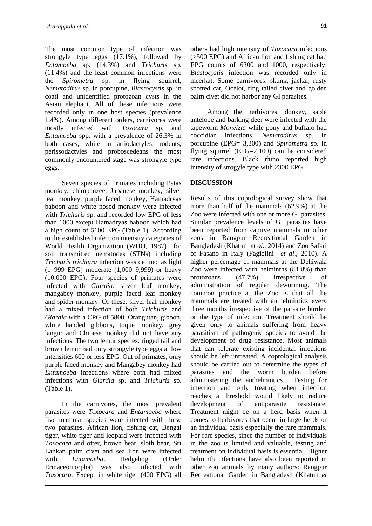The most common type of infection was strongyle type eggs (17.1%), followed by *Entamoeba* sp. (14.3%) and *Trichuris* sp. (11.4%) and the least common infections were the *Spirometra* sp. in flying squirrel, *Nematodirus* sp. in porcupine, *Blastocystis* sp. in coati and unidentified protozoan cysts in the Asian elephant. All of these infections were recorded only in one host species (prevalence 1.4%). Among different orders, carnivores were mostly infected with *Toxocara* sp. and *Entamoeba* spp. with a prevalence of 26.3% in both cases, while in artiodactyles, rodents, perissodactyles and proboscedeans the most commonly encountered stage was strongyle type eggs.

Seven species of Primates including Patas monkey, chimpanzee, Japanese monkey, silver leaf monkey, purple faced monkey, Hamadryas baboon and white nosed monkey were infected with *Trichuris* sp. and recorded low EPG of less than 1000 except Hamadryas baboon which had a high count of 5100 EPG (Table 1). According to the established infection intensity categories of World Health Organization (WHO, 1987) for soil transmitted nematodes (STNs) including *Trichuris trichiura* infection was defined as light (1–999 EPG) moderate (1,000–9,999) or heavy (10,000 EPG). Four species of primates were infected with *Giardia*: silver leaf monkey, mangabey monkey, purple faced leaf monkey and spider monkey. Of these, silver leaf monkey had a mixed infection of both *Trichuris* and *Giardia w*ith a CPG of 5800. Orangutan, gibbon, white handed gibbons, toque monkey, grey langur and Chinese monkey did not have any infections. The two lemur species: ringed tail and brown lemur had only strongyle type eggs at low intensities 600 or less EPG. Out of primates, only purple faced monkey and Mangabey monkey had *Entamoeba* infections where both had mixed infections with *Giardia* sp. and *Trichuris* sp. (Table 1).

In the carnivores, the most prevalent parasites were *Toxocara* and *Entamoeba* where five mammal species were infected with these two parasites. African lion, fishing cat, Bengal tiger, white tiger and leopard were infected with *Toxocara* and otter, brown bear, sloth bear, Sri Lankan palm civet and sea lion were infected with *Entamoeba*. Hedgehog (Order Erinaceomorpha) was also infected with *Toxocara.* Except in white tiger (400 EPG) all

others had high intensity of *Toxocara* infections (>500 EPG) and African lion and fishing cat had EPG counts of 6300 and 1000, respectively. *Blastocystis* infection was recorded only in meerkat. Some carnivores: skunk, jackal, rusty spotted cat, Ocelot, ring tailed civet and golden palm civet did not harbor any GI parasites.

Among the herbivores, donkey, sable antelope and barking deer were infected with the tapeworm *Moneizia* while pony and buffalo had coccidian infections. *Nematodirus* sp. in porcupine (EPG= 3,300) and *Spirometra* sp. in flying squirrel (EPG=2,100) can be considered rare infections. Black rhino reported high intensity of strogyle type with 2300 EPG.

### **DISCUSSION**

Results of this coprological survey show that more than half of the mammals (62.9%) at the Zoo were infected with one or more GI parasites. Similar prevalence levels of GI parasites have been reported from captive mammals in other zoos in Rangpur Recreational Garden in Bangladesh (Khatun *et al*., 2014) and Zoo Safari of Fasano in Italy (Fagiolini *et al*., 2010). A higher percentage of mammals at the Dehiwala Zoo were infected with helminths (81.8%) than protozoans (47.7%) irrespective of administration of regular deworming. The common practice at the Zoo is that all the mammals are treated with anthelmintics every three months irrespective of the parasite burden or the type of infection. Treatment should be given only to animals suffering from heavy parasitism of pathogenic species to avoid the development of drug resistance. Most animals that can tolerate existing incidental infections should be left untreated. A coprological analysis should be carried out to determine the types of parasites and the worm burden before administering the anthelmintics. Testing for infection and only treating when infection reaches a threshold would likely to reduce development of antiparasite resistance. Treatment might be on a herd basis when it comes to herbivores that occur in large herds or an individual basis especially the rare mammals. For rare species, since the number of individuals in the zoo is limited and valuable, testing and treatment on individual basis is essential. Higher helminth infections have also been reported in other zoo animals by many authors: Rangpur Recreational Garden in Bangladesh (Khatun *et*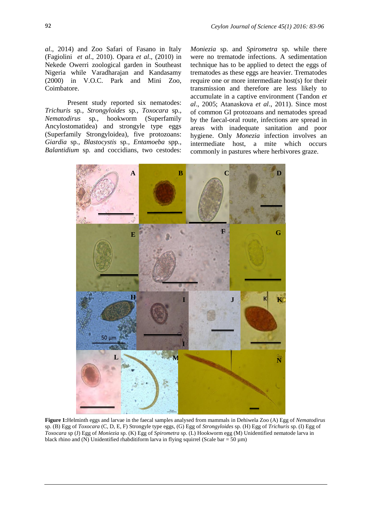*al*., 2014) and Zoo Safari of Fasano in Italy (Fagiolini *et al*., 2010). Opara *et al*., (2010) in Nekede Owerri zoological garden in Southeast Nigeria while Varadharajan and Kandasamy (2000) in V.O.C. Park and Mini Zoo, Coimbatore.

Present study reported six nematodes: *Trichuris* sp*., Strongyloides* sp*., Toxocara* sp.*, Nematodirus* sp*.,* hookworm (Superfamily Ancylostomatidea) and strongyle type eggs (Superfamily Strongyloidea), five protozoans: *Giardia* sp*., Blastocystis* sp*., Entamoeba* spp*., Balantidium* sp*.* and coccidians, two cestodes:

*Moniezia* sp. and *Spirometra* sp. while there were no trematode infections. A sedimentation technique has to be applied to detect the eggs of trematodes as these eggs are heavier. Trematodes require one or more intermediate host(s) for their transmission and therefore are less likely to accumulate in a captive environment (Tandon *et al*., 2005; Atanaskova *et al*., 2011). Since most of common GI protozoans and nematodes spread by the faecal-oral route, infections are spread in areas with inadequate sanitation and poor hygiene. Only *Monezia* infection involves an intermediate host, a mite which occurs commonly in pastures where herbivores graze.



**Figure 1:**Helminth eggs and larvae in the faecal samples analysed from mammals in Dehiwela Zoo (A) Egg of *Nematodirus* sp. (B) Egg of *Toxocara* (C, D, E, F) Strongyle type eggs, (G) Egg of *Strongyloides* sp. (H) Egg of *Trichuris* sp. (I) Egg of *Toxocara* sp (J) Egg of *Moniezia* sp. (K) Egg of *Spirometra* sp. (L) Hookworm egg (M) Unidentified nematode larva in black rhino and (N) Unidentified rhabditiform larva in flying squirrel (Scale bar = 50  $\mu$ m)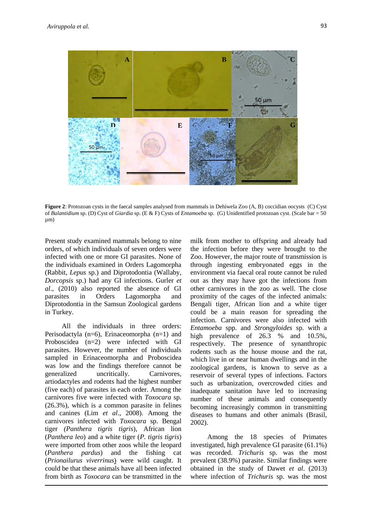

**Figure 2**: Protozoan cysts in the faecal samples analysed from mammals in Dehiwela Zoo (A, B) coccidian oocysts (C) Cyst of *Balantidium* sp. (D) Cyst of *Giardia* sp. (E & F) Cysts of *Entamoeba* sp. (G) Unidentified protozoan cyst. (Scale bar = 50 µm)

Present study examined mammals belong to nine orders, of which individuals of seven orders were infected with one or more GI parasites. None of the individuals examined in Orders Lagomorpha (Rabbit, *Lepus* sp.) and Diprotodontia (Wallaby, *Dorcopsis* sp.) had any GI infections. Gurler *et al*., (2010) also reported the absence of GI parasites in Orders Lagomorpha and Diprotodontia in the Samsun Zoological gardens in Turkey.

All the individuals in three orders: Perisodactyla (n=6), Erinaceomorpha (n=1) and Proboscidea (n=2) were infected with GI parasites. However, the number of individuals sampled in Erinaceomorpha and Proboscidea was low and the findings therefore cannot be generalized uncritically. Carnivores, artiodactyles and rodents had the highest number (five each) of parasites in each order. Among the carnivores five were infected with *Toxocara* sp. (26.3%), which is a common parasite in felines and canines (Lim *et al*., 2008). Among the carnivores infected with *Toxocara* sp. Bengal tiger *(Panthera tigris tigris*), African lion (*Panthera leo*) and a white tiger (*P. tigris tigris*) were imported from other zoos while the leopard (*Panthera pardus*) and the fishing cat (*Prionailurus viverrinus*) were wild caught. It could be that these animals have all been infected from birth as *Toxocara* can be transmitted in the

milk from mother to offspring and already had the infection before they were brought to the Zoo. However, the major route of transmission is through ingesting embryonated eggs in the environment via faecal oral route cannot be ruled out as they may have got the infections from other carnivores in the zoo as well. The close proximity of the cages of the infected animals: Bengali tiger, African lion and a white tiger could be a main reason for spreading the infection. Carnivores were also infected with *Entamoeba* spp. and *Strongyloides* sp. with a high prevalence of 26.3 % and 10.5%, respectively. The presence of synanthropic rodents such as the house mouse and the rat, which live in or near human dwellings and in the zoological gardens, is known to serve as a reservoir of several types of infections. Factors such as urbanization, overcrowded cities and inadequate sanitation have led to increasing number of these animals and consequently becoming increasingly common in transmitting diseases to humans and other animals (Brasil, 2002).

Among the 18 species of Primates investigated, high prevalence GI parasite (61.1%) was recorded. *Trichuris* sp. was the most prevalent (38.9%) parasite. Similar findings were obtained in the study of Dawet *et al*. (2013) where infection of *Trichuris* sp. was the most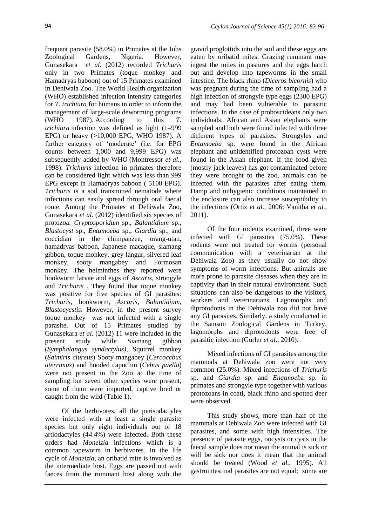frequent parasite (58.0%) in Primates at the Jobs Zoological Gardens, Nigeria. However, Gunasekara *et al*. (2012) recorded *Trichuris*  only in two Primates (toque monkey and Hamadryas baboon) out of 15 Primates examined in Dehiwala Zoo. The World Health organization (WHO) established infection intensity categories for *T. trichiura* for humans in order to inform the management of large-scale deworming programs (WHO 1987). According to this *T. trichiura* infection was defined as light (1–999 EPG) or heavy (>10,000 EPG, WHO 1987). A further category of 'moderate' (i.e. for EPG counts between 1,000 and 9,999 EPG) was subsequently added by WHO (Montressor *et al.,* 1998). *Trichuris* infection in primates therefore can be considered light which was less than 999 EPG except in Hamadryas baboon ( 5100 EPG). *Trichuris* is a soil transmitted nematode where infections can easily spread through oral faecal route. Among the Primates at Dehiwala Zoo, Gunasekara *et al*. (2012) identified six species of protozoa: *Cryptosporidum* sp., *Balantidium* sp., *Blastocyst* sp., *Entamoeba* sp., *Giardia* sp., and coccidian in the chimpanzee, orang-utan, hamadryas baboon, Japanese macaque, siamang gibbon, toque monkey, grey langur, silvered leaf monkey, sooty mangabey and Formosan monkey. The helminthes they reported were hookworm larvae and eggs of *Ascaris*, strongyle and *Trichuris* . They found that toque monkey was positive for five species of GI parasites: *Trichuris*, hookworm, *Ascaris, Balantidium, Blastocycstis*. However, in the present survey toque monkey was not infected with a single parasite. Out of 15 Primates studied by Gunasekara *et al.* (2012) 11 were included in the present study while Siamang gibbon (*Symphalangus syndactylus),* Squirrel monkey (*Saimiris ciureus*) Sooty mangabey (*Cercocebus aterrimus*) and hooded capuchin (*Cebus paella*) were not present in the Zoo at the time of sampling but seven other species were present, some of them were imported, captive bred or caught from the wild (Table 1).

Of the herbivores, all the perisodactyles were infected with at least a single parasite species but only eight individuals out of 18 artiodactyles (44.4%) were infected. Both these orders had *Moneizia* infections which is a common tapeworm in herbivores. In the life cycle of *Moneizia,* an oribatid mite is involved as the intermediate host. Eggs are passed out with faeces from the ruminant host along with the

gravid proglottids into the soil and these eggs are eaten by oribatid mites. Grazing ruminant may ingest the mites in pastures and the eggs hatch out and develop into tapeworms in the small intestine. The black rhino (*Diceros bicornis*) who was pregnant during the time of sampling had a high infection of strongyle type eggs (2300 EPG) and may had been vulnerable to parasitic infections. In the case of proboscideans only two individuals: African and Asian elephants were sampled and both were found infected with three different types of parasites. Strongyles and *Entamoeba* sp. were found in the African elephant and unidentified protozoan cysts were found in the Asian elephant. If the food given (mostly jack leaves) has got contaminated before they were brought to the zoo, animals can be infected with the parasites after eating them. Damp and unhygienic conditions maintained in the enclosure can also increase susceptibility to the infections (Ortiz *et al.,* 2006; Vanitha *et al.,* 2011).

Of the four rodents examined, three were infected with GI parasites (75.0%). These rodents were not treated for worms (personal communication with a veterinarian at the Dehiwala Zoo) as they usually do not show symptoms of worm infections. But animals are more prone to parasite diseases when they are in captivity than in their natural environment. Such situations can also be dangerous to the visitors, workers and veterinarians. Lagomorphs and diprotodonts in the Dehiwala zoo did not have any GI parasites. Similarly, a study conducted in the Samsun Zoological Gardens in Turkey, lagomorphs and diprotodonts were free of parasitic infection (Gurler *et al*., 2010).

Mixed infections of GI parasites among the mammals at Dehiwala zoo were not very common (25.0%). Mixed infections of *Trichuris*  sp. and *Giardia* sp. and *Enatmoeb*a sp. in primates and strongyle type together with various protozoans in coati, black rhino and spotted deer were observed.

This study shows, more than half of the mammals at Dehiwala Zoo were infected with GI parasites, and some with high intensities. The presence of parasite eggs, oocysts or cysts in the faecal sample does not mean the animal is sick or will be sick nor does it mean that the animal should be treated (Wood *et al.,* 1995). All gastrointestinal parasites are not equal; some are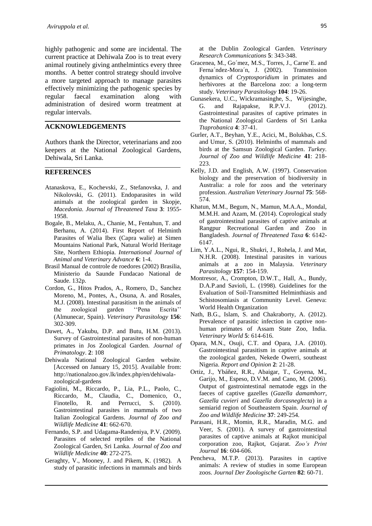highly pathogenic and some are incidental. The current practice at Dehiwala Zoo is to treat every animal routinely giving anthelmintics every three months. A better control strategy should involve a more targeted approach to manage parasites effectively minimizing the pathogenic species by regular faecal examination along with administration of desired worm treatment at regular intervals.

### **ACKNOWLEDGEMENTS**

Authors thank the Director, veterinarians and zoo keepers at the National Zoological Gardens, Dehiwala, Sri Lanka.

#### **REFERENCES**

- Atanaskova, E., Kochevski, Z., Stefanovska, J. and Nikolovski, G. (2011). Endoparasites in wild animals at the zoological garden in Skopje, *Macedonia. Journal of Threatened Taxa* **3**: 1955- 1958.
- Bogale, B., Melaku, A., Chanie, M., Fentahun, T. and Berhanu, A. (2014). First Report of Helminth Parasites of Walia Ibex (Capra walie) at Simen Mountains National Park, Natural World Heritage Site, Northern Ethiopia. *International Journal of Animal and Veterinary Advance* **6**: 1-4.
- Brasil Manual de controle de roedores (2002) Brasilia, Ministerio da Saunde Fundacao National de Saude. 132p.
- Cordon, G., Hitos Prados, A., Romero, D., Sanchez Moreno, M., Pontes, A., Osuna, A. and Rosales, M.J. (2008). Intestinal parasitism in the animals of the zoological garden ''Pena Escrita'' (Almunecar, Spain). *Veterinary Parasitology* **156**: 302-309.
- Dawet, A., Yakubu, D.P. and Butu, H.M. (2013). Survey of Gastrointestinal parasites of non-human primates in Jos Zoological Garden. *Journal of Primatology*. **2**: 108
- Dehiwala National Zoological Garden website. [Accessed on January 15, 2015]. Available from: http://nationalzoo.gov.lk/index.php/en/dehiwalazoological-gardens
- Fagiolini, M., Riccardo, P., Lia, P.L., Paolo, C., Riccardo, M., Claudia, C., Domenico, O., Finotello, R. and Perrucci, S. (2010). Gastrointestinal parasites in mammals of two Italian Zoological Gardens. *Journal of Zoo and Wildlife Medicine* **41**: 662-670.
- Fernando, S.P. and Udagama-Randeniya, P.V. (2009). Parasites of selected reptiles of the National Zoological Garden, Sri Lanka. *Journal of Zoo and Wildlife Medicine* **40**: 272-275.
- Geraghty, V., Mooney, J. and Pikem, K. (1982). A study of parasitic infections in mammals and birds

at the Dublin Zoological Garden. *Veterinary Research Communications* **5**: 343-348.

- Gracenea, M., Go´mez, M.S., Torres, J., Carne´E. and Ferna´ndez-Mora´n, J. (2002). Transmission dynamics of *Cryptosporidium* in primates and herbivores at the Barcelona zoo: a long-term study. *Veterinary Parasitology* **104**: 19-26.
- Gunasekera, U.C., Wickramasinghe, S., Wijesinghe, G. and Rajapakse, R.P.V.J. (2012). Gastrointestinal parasites of captive primates in the National Zoological Gardens of Sri Lanka *Ttaprobanica* **4**: 37-41.
- Gurler, A.T., Beyhan, Y.E., Acici, M., Bolukbas, C.S. and Umur, S. (2010). Helminths of mammals and birds at the Samsun Zoological Garden. *Turkey. Journal of Zoo and Wildlife Medicine* **41**: 218- 223.
- Kelly, J.D. and English, A.W. (1997). Conservation biology and the preservation of biodiversity in Australia: a role for zoos and the veterinary profession. *Australian Veterinary Journal* **75**: 568- 574.
- Khatun, M.M., Begum, N., Mamun, M.A.A., Mondal, M.M.H. and Azam, M. (2014). Coprological study of gastrointestinal parasites of captive animals at Rangpur Recreational Garden and Zoo in Bangladesh. *Journal of Threatened Taxa* **6**: 6142- 6147.
- Lim, Y.A.L., Ngui, R., Shukri, J., Rohela, J. and Mat, N.H.R. (2008). Intestinal parasites in various animals at a zoo in Malaysia. *Veterinary Parasitology* **157**: 154-159.
- Montresor, A., Crompton, D.W.T., Hall, A., Bundy, D.A.P.and Savioli, L. (1998). Guidelines for the Evaluation of Soil-Transmitted Helminthiasis and Schistosomiasis at Community Level. Geneva: World Health Organization
- Nath, B.G., Islam, S. and Chakraborty, A. (2012). Prevalence of parasitic infection in captive nonhuman primates of Assam State Zoo, India. *Veterinary World* **5**: 614-616.
- Opara, M.N., Osuji, C.T. and Opara, J.A. (2010). Gastrointestinal parasitism in captive animals at the zoological garden, Nekede Owerri, southeast Nigeria. *Report and Opinion* **2**: 21-28.
- Ortiz, J., Ybáñez, R.R., Abaigar, T., Goyena, M., Garijo, M., Espeso, D.V.M. and Cano, M. (2006). Output of gastrointestinal nematode eggs in the faeces of captive gazelles (*Gazella damamhorr, Gazella cuvieri* and *Gazella dorcasneglecta*) in a semiarid region of Southeastern Spain. *Journal of Zoo and Wildlife Medicine* **37**: 249-254.
- Parasani, H.R., Momin, R.R., Maradin, M.G. and Veer, S. (2001). A survey of gastrointestinal parasites of captive animals at Rajkot municipal corporation zoo, Rajkot, Gujarat. *Zoo's Print Journal* **16**: 604-606.
- Pencheva, M.T.P. (2013). Parasites in captive animals: A review of studies in some European zoos. *Journal Der Zoologische Garten* **82**: 60-71.